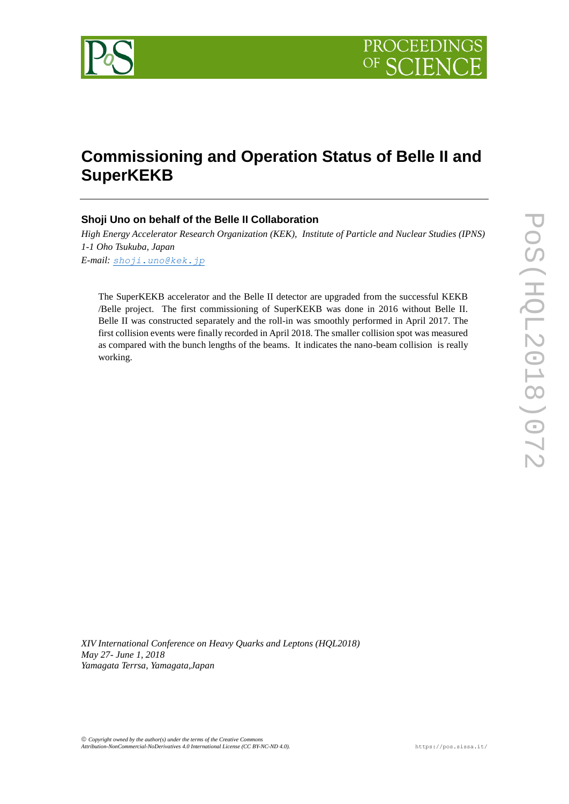

# **Commissioning and Operation Status of Belle II and SuperKEKB**

# **Shoji Uno on behalf of the Belle II Collaboration**

*High Energy Accelerator Research Organization (KEK), Institute of Particle and Nuclear Studies (IPNS) 1-1 Oho Tsukuba, Japan E-mail: [shoji.uno@kek.jp](mailto:shoji.uno@kek.jp)*

The SuperKEKB accelerator and the Belle II detector are upgraded from the successful KEKB /Belle project. The first commissioning of SuperKEKB was done in 2016 without Belle II. Belle II was constructed separately and the roll-in was smoothly performed in April 2017. The first collision events were finally recorded in April 2018. The smaller collision spot was measured as compared with the bunch lengths of the beams. It indicates the nano-beam collision is really working.

*XIV International Conference on Heavy Quarks and Leptons (HQL2018) May 27- June 1, 2018 Yamagata Terrsa, Yamagata,Japan*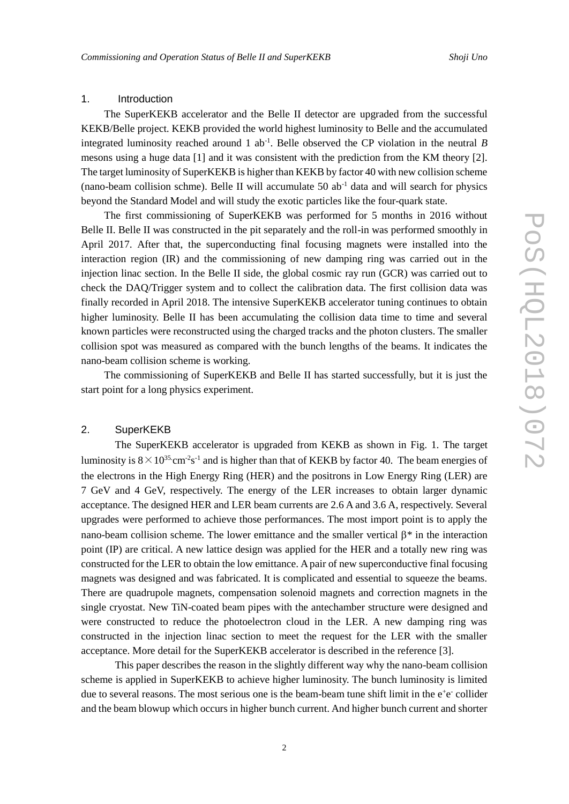# 1. Introduction

The SuperKEKB accelerator and the Belle II detector are upgraded from the successful KEKB/Belle project. KEKB provided the world highest luminosity to Belle and the accumulated integrated luminosity reached around 1 ab-1 . Belle observed the CP violation in the neutral *B* mesons using a huge data [1] and it was consistent with the prediction from the KM theory [2]. The target luminosity of SuperKEKB is higher than KEKB by factor 40 with new collision scheme (nano-beam collision schme). Belle II will accumulate 50  $ab<sup>-1</sup>$  data and will search for physics beyond the Standard Model and will study the exotic particles like the four-quark state.

The first commissioning of SuperKEKB was performed for 5 months in 2016 without Belle II. Belle II was constructed in the pit separately and the roll-in was performed smoothly in April 2017. After that, the superconducting final focusing magnets were installed into the interaction region (IR) and the commissioning of new damping ring was carried out in the injection linac section. In the Belle II side, the global cosmic ray run (GCR) was carried out to check the DAQ/Trigger system and to collect the calibration data. The first collision data was finally recorded in April 2018. The intensive SuperKEKB accelerator tuning continues to obtain higher luminosity. Belle II has been accumulating the collision data time to time and several known particles were reconstructed using the charged tracks and the photon clusters. The smaller collision spot was measured as compared with the bunch lengths of the beams. It indicates the nano-beam collision scheme is working.

The commissioning of SuperKEKB and Belle II has started successfully, but it is just the start point for a long physics experiment.

### 2. SuperKEKB

The SuperKEKB accelerator is upgraded from KEKB as shown in Fig. 1. The target luminosity is  $8 \times 10^{35}$  cm<sup>-2</sup>s<sup>-1</sup> and is higher than that of KEKB by factor 40. The beam energies of the electrons in the High Energy Ring (HER) and the positrons in Low Energy Ring (LER) are 7 GeV and 4 GeV, respectively. The energy of the LER increases to obtain larger dynamic acceptance. The designed HER and LER beam currents are 2.6 A and 3.6 A, respectively. Several upgrades were performed to achieve those performances. The most import point is to apply the nano-beam collision scheme. The lower emittance and the smaller vertical  $\beta^*$  in the interaction point (IP) are critical. A new lattice design was applied for the HER and a totally new ring was constructed for the LER to obtain the low emittance. A pair of new superconductive final focusing magnets was designed and was fabricated. It is complicated and essential to squeeze the beams. There are quadrupole magnets, compensation solenoid magnets and correction magnets in the single cryostat. New TiN-coated beam pipes with the antechamber structure were designed and were constructed to reduce the photoelectron cloud in the LER. A new damping ring was constructed in the injection linac section to meet the request for the LER with the smaller acceptance. More detail for the SuperKEKB accelerator is described in the reference [3].

This paper describes the reason in the slightly different way why the nano-beam collision scheme is applied in SuperKEKB to achieve higher luminosity. The bunch luminosity is limited due to several reasons. The most serious one is the beam-beam tune shift limit in the e<sup>+</sup>e<sup>-</sup> collider and the beam blowup which occurs in higher bunch current. And higher bunch current and shorter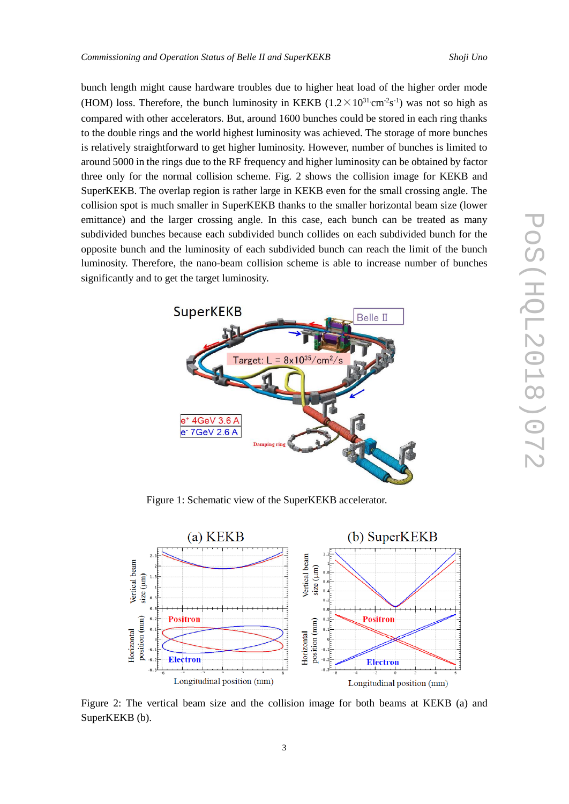bunch length might cause hardware troubles due to higher heat load of the higher order mode (HOM) loss. Therefore, the bunch luminosity in KEKB  $(1.2 \times 10^{31} \text{ cm}^2 \text{s}^{-1})$  was not so high as compared with other accelerators. But, around 1600 bunches could be stored in each ring thanks to the double rings and the world highest luminosity was achieved. The storage of more bunches is relatively straightforward to get higher luminosity. However, number of bunches is limited to around 5000 in the rings due to the RF frequency and higher luminosity can be obtained by factor three only for the normal collision scheme. Fig. 2 shows the collision image for KEKB and SuperKEKB. The overlap region is rather large in KEKB even for the small crossing angle. The collision spot is much smaller in SuperKEKB thanks to the smaller horizontal beam size (lower emittance) and the larger crossing angle. In this case, each bunch can be treated as many subdivided bunches because each subdivided bunch collides on each subdivided bunch for the opposite bunch and the luminosity of each subdivided bunch can reach the limit of the bunch luminosity. Therefore, the nano-beam collision scheme is able to increase number of bunches significantly and to get the target luminosity.



Figure 1: Schematic view of the SuperKEKB accelerator.



Figure 2: The vertical beam size and the collision image for both beams at KEKB (a) and SuperKEKB (b).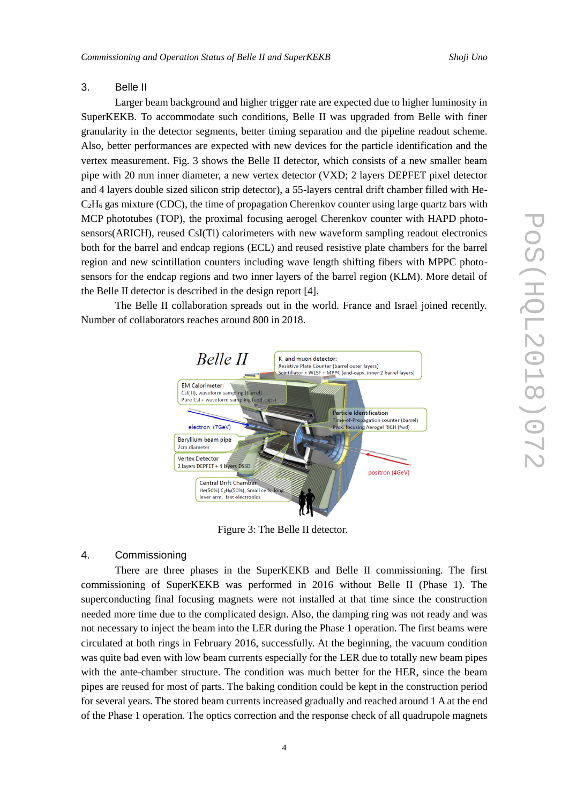#### 3. Belle II

Larger beam background and higher trigger rate are expected due to higher luminosity in SuperKEKB. To accommodate such conditions, Belle II was upgraded from Belle with finer granularity in the detector segments, better timing separation and the pipeline readout scheme. Also, better performances are expected with new devices for the particle identification and the vertex measurement. Fig. 3 shows the Belle II detector, which consists of a new smaller beam pipe with 20 mm inner diameter, a new vertex detector (VXD; 2 layers DEPFET pixel detector and 4 layers double sized silicon strip detector), a 55-layers central drift chamber filled with He- $C_2H_6$  gas mixture (CDC), the time of propagation Cherenkov counter using large quartz bars with MCP phototubes (TOP), the proximal focusing aerogel Cherenkov counter with HAPD photosensors(ARICH), reused CsI(Tl) calorimeters with new waveform sampling readout electronics both for the barrel and endcap regions (ECL) and reused resistive plate chambers for the barrel region and new scintillation counters including wave length shifting fibers with MPPC photosensors for the endcap regions and two inner layers of the barrel region (KLM). More detail of the Belle II detector is described in the design report [4].

The Belle II collaboration spreads out in the world. France and Israel joined recently. Number of collaborators reaches around 800 in 2018.



Figure 3: The Belle II detector.

#### 4. Commissioning

There are three phases in the SuperKEKB and Belle II commissioning. The first commissioning of SuperKEKB was performed in 2016 without Belle II (Phase 1). The superconducting final focusing magnets were not installed at that time since the construction needed more time due to the complicated design. Also, the damping ring was not ready and was not necessary to inject the beam into the LER during the Phase 1 operation. The first beams were circulated at both rings in February 2016, successfully. At the beginning, the vacuum condition was quite bad even with low beam currents especially for the LER due to totally new beam pipes with the ante-chamber structure. The condition was much better for the HER, since the beam pipes are reused for most of parts. The baking condition could be kept in the construction period for several years. The stored beam currents increased gradually and reached around 1 A at the end of the Phase 1 operation. The optics correction and the response check of all quadrupole magnets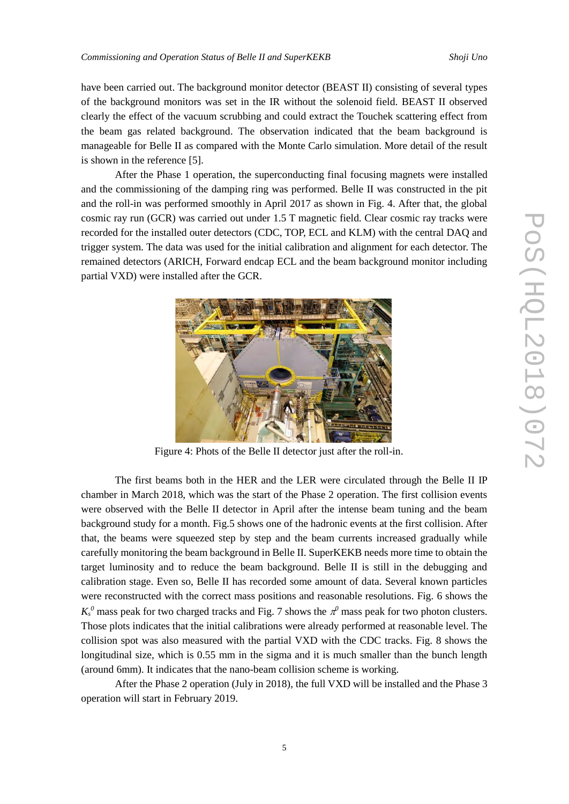have been carried out. The background monitor detector (BEAST II) consisting of several types of the background monitors was set in the IR without the solenoid field. BEAST II observed clearly the effect of the vacuum scrubbing and could extract the Touchek scattering effect from the beam gas related background. The observation indicated that the beam background is manageable for Belle II as compared with the Monte Carlo simulation. More detail of the result is shown in the reference [5].

After the Phase 1 operation, the superconducting final focusing magnets were installed and the commissioning of the damping ring was performed. Belle II was constructed in the pit and the roll-in was performed smoothly in April 2017 as shown in Fig. 4. After that, the global cosmic ray run (GCR) was carried out under 1.5 T magnetic field. Clear cosmic ray tracks were recorded for the installed outer detectors (CDC, TOP, ECL and KLM) with the central DAQ and trigger system. The data was used for the initial calibration and alignment for each detector. The remained detectors (ARICH, Forward endcap ECL and the beam background monitor including partial VXD) were installed after the GCR.



Figure 4: Phots of the Belle II detector just after the roll-in.

The first beams both in the HER and the LER were circulated through the Belle II IP chamber in March 2018, which was the start of the Phase 2 operation. The first collision events were observed with the Belle II detector in April after the intense beam tuning and the beam background study for a month. Fig.5 shows one of the hadronic events at the first collision. After that, the beams were squeezed step by step and the beam currents increased gradually while carefully monitoring the beam background in Belle II. SuperKEKB needs more time to obtain the target luminosity and to reduce the beam background. Belle II is still in the debugging and calibration stage. Even so, Belle II has recorded some amount of data. Several known particles were reconstructed with the correct mass positions and reasonable resolutions. Fig. 6 shows the  $K_s^0$  mass peak for two charged tracks and Fig. 7 shows the  $\pi^0$  mass peak for two photon clusters. Those plots indicates that the initial calibrations were already performed at reasonable level. The collision spot was also measured with the partial VXD with the CDC tracks. Fig. 8 shows the longitudinal size, which is 0.55 mm in the sigma and it is much smaller than the bunch length (around 6mm). It indicates that the nano-beam collision scheme is working.

After the Phase 2 operation (July in 2018), the full VXD will be installed and the Phase 3 operation will start in February 2019.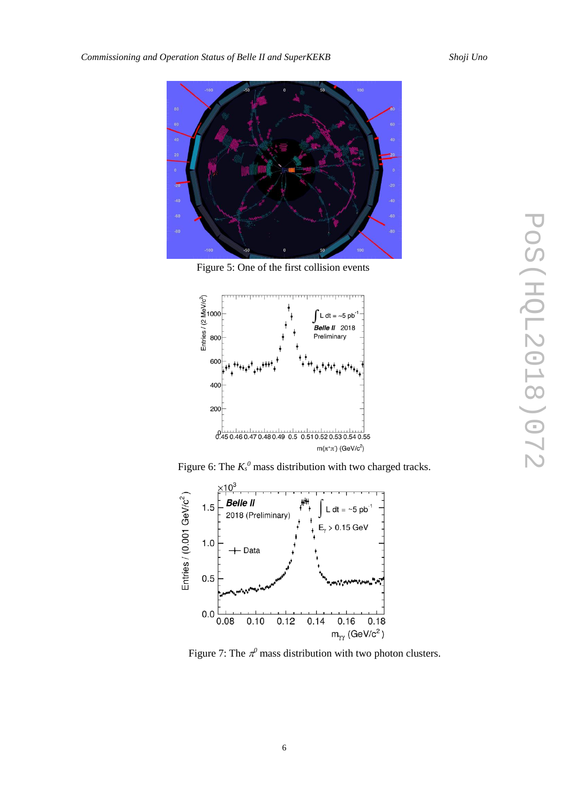

Figure 5: One of the first collision events



Figure 6: The  $K_s^0$  mass distribution with two charged tracks.



Figure 7: The  $\pi^0$  mass distribution with two photon clusters.